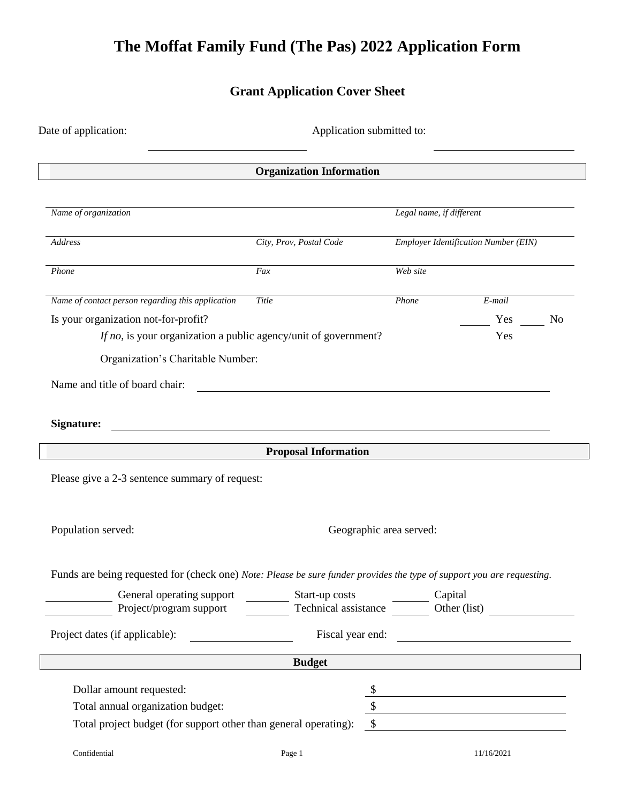# **The Moffat Family Fund (The Pas) 2022 Application Form**

## **Grant Application Cover Sheet**

| Date of application:<br>Application submitted to:                                                                      |                                                                                                                      |                                             |                                               |    |
|------------------------------------------------------------------------------------------------------------------------|----------------------------------------------------------------------------------------------------------------------|---------------------------------------------|-----------------------------------------------|----|
|                                                                                                                        | <b>Organization Information</b>                                                                                      |                                             |                                               |    |
| Name of organization                                                                                                   |                                                                                                                      | Legal name, if different                    |                                               |    |
| Address                                                                                                                | City, Prov, Postal Code                                                                                              | <b>Employer Identification Number (EIN)</b> |                                               |    |
| Phone                                                                                                                  | Fax                                                                                                                  | Web site                                    |                                               |    |
| Name of contact person regarding this application                                                                      | Title                                                                                                                | Phone                                       | E-mail                                        |    |
| Is your organization not-for-profit?                                                                                   |                                                                                                                      |                                             | Yes                                           | No |
| If no, is your organization a public agency/unit of government?                                                        |                                                                                                                      |                                             | Yes                                           |    |
| Organization's Charitable Number:                                                                                      |                                                                                                                      |                                             |                                               |    |
| Name and title of board chair:                                                                                         |                                                                                                                      |                                             |                                               |    |
|                                                                                                                        |                                                                                                                      |                                             |                                               |    |
| Signature:                                                                                                             | <u> 1980 - Jan Samuel Barbara, martin din shekara 1980 - André Samuel Barbara, mashrida a shekara 1980 - André S</u> |                                             |                                               |    |
|                                                                                                                        | <b>Proposal Information</b>                                                                                          |                                             |                                               |    |
| Please give a 2-3 sentence summary of request:                                                                         |                                                                                                                      |                                             |                                               |    |
|                                                                                                                        |                                                                                                                      |                                             |                                               |    |
| Population served:                                                                                                     | Geographic area served:                                                                                              |                                             |                                               |    |
|                                                                                                                        |                                                                                                                      |                                             |                                               |    |
| Funds are being requested for (check one) Note: Please be sure funder provides the type of support you are requesting. |                                                                                                                      |                                             |                                               |    |
| General operating support<br>Project/program support                                                                   | Start-up costs<br>Technical assistance<br><u>Capital</u><br>Other (list)                                             |                                             |                                               |    |
|                                                                                                                        |                                                                                                                      |                                             |                                               |    |
| Project dates (if applicable):                                                                                         | Fiscal year end:                                                                                                     |                                             | <u> 1980 - Andrea Andrew Maria (h. 1980).</u> |    |
| <u> 1980 - Johann Barnett, fransk politik (</u>                                                                        | <b>Budget</b>                                                                                                        |                                             |                                               |    |
| Dollar amount requested:                                                                                               | $\mathcal{S}$                                                                                                        |                                             |                                               |    |
| Total annual organization budget:                                                                                      |                                                                                                                      | $\frac{1}{2}$                               |                                               |    |
| Total project budget (for support other than general operating):                                                       | $\mathbb{S}$                                                                                                         |                                             |                                               |    |
| Confidential                                                                                                           | Page 1                                                                                                               |                                             | 11/16/2021                                    |    |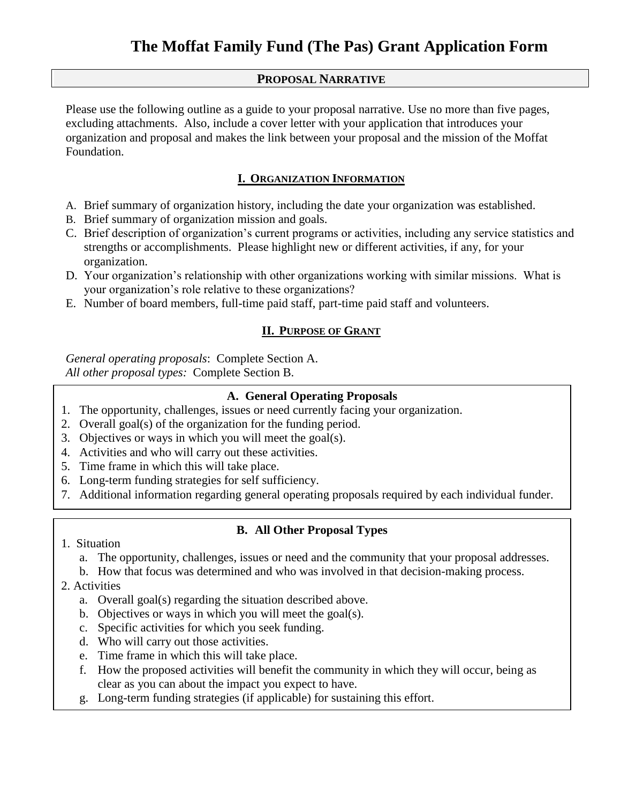#### **PROPOSAL NARRATIVE**

Please use the following outline as a guide to your proposal narrative. Use no more than five pages, excluding attachments. Also, include a cover letter with your application that introduces your organization and proposal and makes the link between your proposal and the mission of the Moffat Foundation.

### **I. ORGANIZATION INFORMATION**

- A. Brief summary of organization history, including the date your organization was established.
- B. Brief summary of organization mission and goals.
- C. Brief description of organization's current programs or activities, including any service statistics and strengths or accomplishments. Please highlight new or different activities, if any, for your organization.
- D. Your organization's relationship with other organizations working with similar missions. What is your organization's role relative to these organizations?
- E. Number of board members, full-time paid staff, part-time paid staff and volunteers.

### **II. PURPOSE OF GRANT**

*General operating proposals*: Complete Section A. *All other proposal types:* Complete Section B.

### **A. General Operating Proposals**

- 1. The opportunity, challenges, issues or need currently facing your organization.
- 2. Overall goal(s) of the organization for the funding period.
- 3. Objectives or ways in which you will meet the goal(s).
- 4. Activities and who will carry out these activities.
- 5. Time frame in which this will take place.
- 6. Long-term funding strategies for self sufficiency.
- 7. Additional information regarding general operating proposals required by each individual funder.

### **B. All Other Proposal Types**

- 1. Situation
	- a. The opportunity, challenges, issues or need and the community that your proposal addresses.
	- b. How that focus was determined and who was involved in that decision-making process.
- 2. Activities
	- a. Overall goal(s) regarding the situation described above.
	- b. Objectives or ways in which you will meet the goal(s).
	- c. Specific activities for which you seek funding.
	- d. Who will carry out those activities.
	- e. Time frame in which this will take place.
	- f. How the proposed activities will benefit the community in which they will occur, being as clear as you can about the impact you expect to have.
	- g. Long-term funding strategies (if applicable) for sustaining this effort.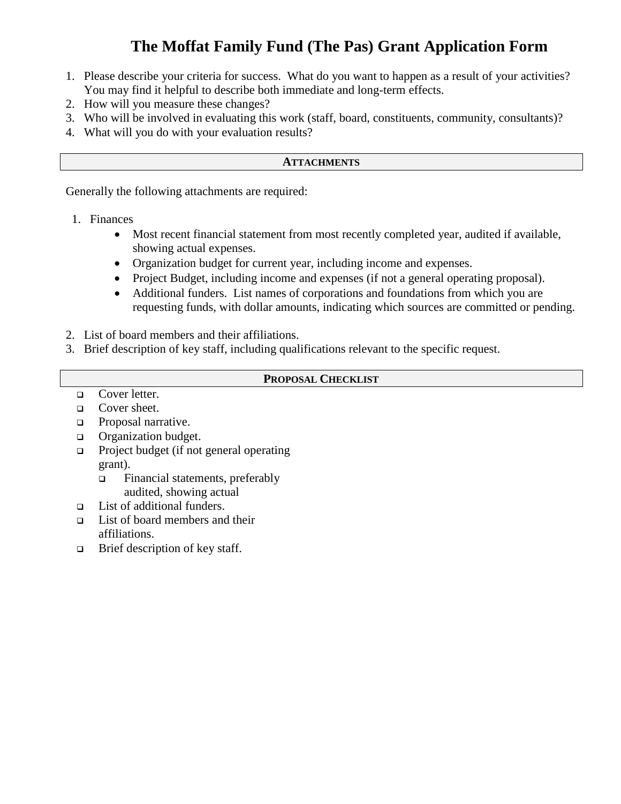# **The Moffat Family Fund (The Pas) Grant Application Form**

- 1. Please describe your criteria for success. What do you want to happen as a result of your activities? You may find it helpful to describe both immediate and long-term effects.
- 2. How will you measure these changes?
- 3. Who will be involved in evaluating this work (staff, board, constituents, community, consultants)?
- 4. What will you do with your evaluation results?

#### **ATTACHMENTS**

Generally the following attachments are required:

- 1. Finances
	- Most recent financial statement from most recently completed year, audited if available, showing actual expenses.
	- Organization budget for current year, including income and expenses.
	- Project Budget, including income and expenses (if not a general operating proposal).
	- Additional funders. List names of corporations and foundations from which you are requesting funds, with dollar amounts, indicating which sources are committed or pending.
- 2. List of board members and their affiliations.
- 3. Brief description of key staff, including qualifications relevant to the specific request.

#### **PROPOSAL CHECKLIST**

- □ Cover letter.
- □ Cover sheet.
- **D** Proposal narrative.
- **Q** Organization budget.
- $\Box$  Project budget (if not general operating grant).
	- □ Financial statements, preferably audited, showing actual
- □ List of additional funders.
- $\Box$  List of board members and their affiliations.
- $\Box$  Brief description of key staff.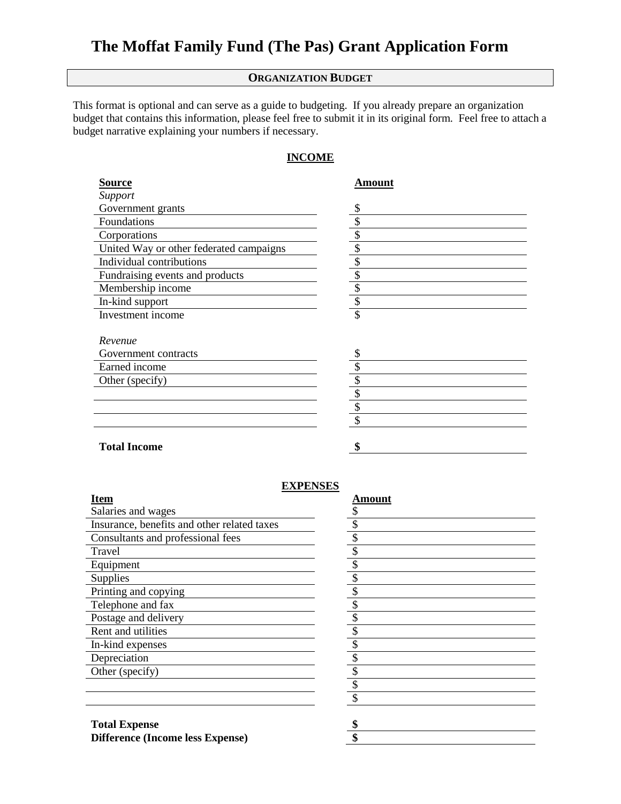## **The Moffat Family Fund (The Pas) Grant Application Form**

#### **ORGANIZATION BUDGET**

This format is optional and can serve as a guide to budgeting. If you already prepare an organization budget that contains this information, please feel free to submit it in its original form. Feel free to attach a budget narrative explaining your numbers if necessary.

#### **INCOME**

| <b>Source</b>                           | Amount |
|-----------------------------------------|--------|
| Support                                 |        |
| Government grants                       | \$     |
| Foundations                             | \$     |
| Corporations                            | \$     |
| United Way or other federated campaigns | \$     |
| Individual contributions                | \$     |
| Fundraising events and products         | \$     |
| Membership income                       | \$     |
| In-kind support                         | \$     |
| Investment income                       | \$     |
| Revenue                                 |        |
| Government contracts                    | \$     |
| Earned income                           |        |
| Other (specify)                         | \$     |
|                                         | \$     |
|                                         | \$     |
|                                         | \$     |
| <b>Total Income</b>                     | ¢      |

#### **EXPENSES**

| Item                                        | Amount |
|---------------------------------------------|--------|
| Salaries and wages                          |        |
| Insurance, benefits and other related taxes |        |
| Consultants and professional fees           |        |
| Travel                                      | ¢      |
| Equipment                                   |        |
| Supplies                                    | ¢      |
| Printing and copying                        |        |
| Telephone and fax                           |        |
| Postage and delivery                        |        |
| Rent and utilities                          |        |
| In-kind expenses                            |        |
| Depreciation                                | \$     |
| Other (specify)                             |        |
|                                             |        |
|                                             |        |

| <b>Amount</b>            |  |  |
|--------------------------|--|--|
| \$                       |  |  |
| $\overline{\$}$          |  |  |
| \$                       |  |  |
| $\overline{\mathcal{L}}$ |  |  |
| \$                       |  |  |
| $\overline{\$}$          |  |  |
| \$                       |  |  |
| $\overline{\$}$          |  |  |
| $\overline{\$}$          |  |  |
| $\overline{\$}$          |  |  |
| \$                       |  |  |
| $\overline{\$}$          |  |  |
| $\overline{\mathcal{L}}$ |  |  |
| $\overline{\mathcal{S}}$ |  |  |
| \$                       |  |  |
| \$                       |  |  |

**Total Expense \$ Difference (Income less Expense) \$**